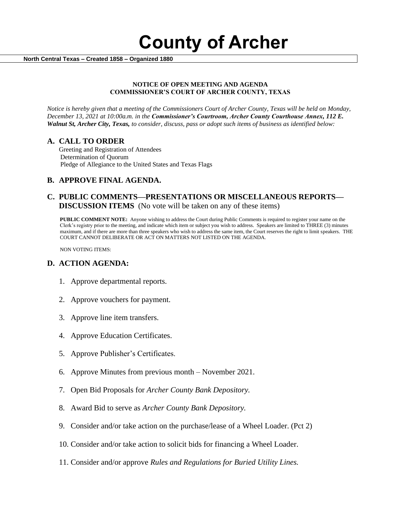**County of Archer** 

 **North Central Texas – Created 1858 – Organized 1880**

#### **NOTICE OF OPEN MEETING AND AGENDA COMMISSIONER'S COURT OF ARCHER COUNTY, TEXAS**

*Notice is hereby given that a meeting of the Commissioners Court of Archer County, Texas will be held on Monday, December 13, 2021 at 10:00a.m. in the Commissioner's Courtroom, Archer County Courthouse Annex, 112 E. Walnut St, Archer City, Texas, to consider, discuss, pass or adopt such items of business as identified below:*

#### **A. CALL TO ORDER**

 Greeting and Registration of Attendees Determination of Quorum Pledge of Allegiance to the United States and Texas Flags

## **B. APPROVE FINAL AGENDA.**

## **C. PUBLIC COMMENTS—PRESENTATIONS OR MISCELLANEOUS REPORTS— DISCUSSION ITEMS** (No vote will be taken on any of these items)

**PUBLIC COMMENT NOTE:** Anyone wishing to address the Court during Public Comments is required to register your name on the Clerk's registry prior to the meeting, and indicate which item or subject you wish to address. Speakers are limited to THREE (3) minutes maximum, and if there are more than three speakers who wish to address the same item, the Court reserves the right to limit speakers. THE COURT CANNOT DELIBERATE OR ACT ON MATTERS NOT LISTED ON THE AGENDA.

NON VOTING ITEMS:

## **D. ACTION AGENDA:**

- 1. Approve departmental reports.
- 2. Approve vouchers for payment.
- 3. Approve line item transfers.
- 4. Approve Education Certificates.
- 5. Approve Publisher's Certificates.
- 6. Approve Minutes from previous month November 2021.
- 7. Open Bid Proposals for *Archer County Bank Depository.*
- 8. Award Bid to serve as *Archer County Bank Depository.*
- 9. Consider and/or take action on the purchase/lease of a Wheel Loader. (Pct 2)
- 10. Consider and/or take action to solicit bids for financing a Wheel Loader.
- 11. Consider and/or approve *Rules and Regulations for Buried Utility Lines.*